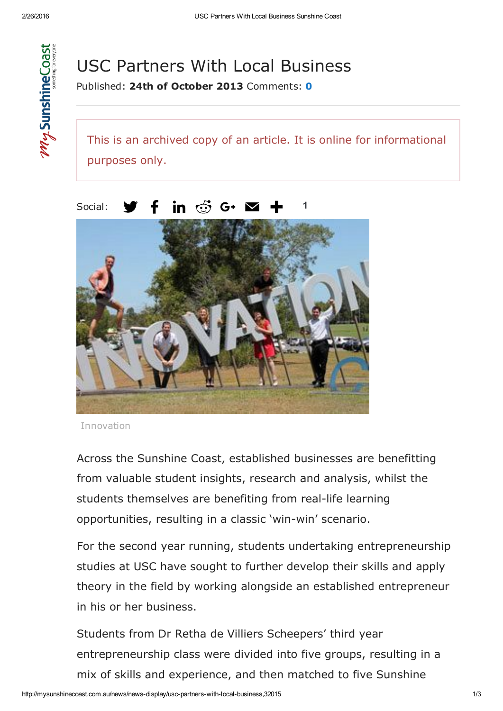

## USC Partners With Local Business

Published: 24th of October 2013 Comments: [0](http://mysunshinecoast.com.au/news/news-display/usc-partners-with-local-business,32015#disqus_thread)

This is an archived copy of an article. It is online for informational purposes only.

1



in  $\mathfrak{S}$  G+  $\blacksquare$ Social: f

Innovation

Across the Sunshine Coast, established businesses are benefitting from valuable student insights, research and analysis, whilst the students themselves are benefiting from real-life learning opportunities, resulting in a classic 'win-win' scenario.

For the second year running, students undertaking entrepreneurship studies at USC have sought to further develop their skills and apply theory in the field by working alongside an established entrepreneur in his or her business.

Students from Dr Retha de Villiers Scheepers' third year entrepreneurship class were divided into five groups, resulting in a mix of skills and experience, and then matched to five Sunshine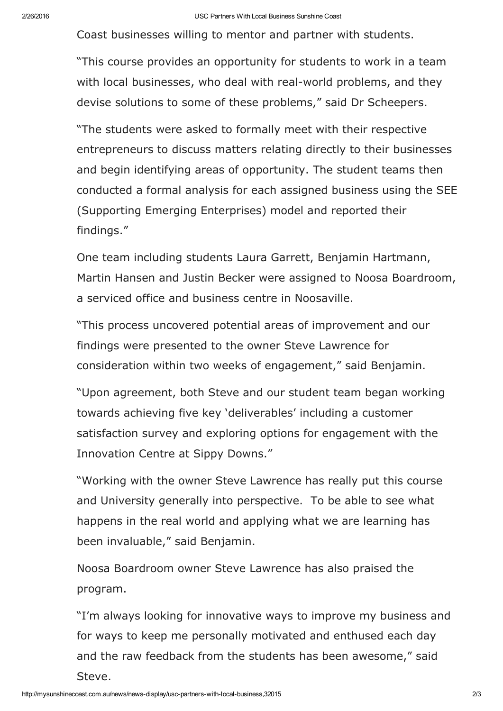Coast businesses willing to mentor and partner with students.

"This course provides an opportunity for students to work in a team with local businesses, who deal with real-world problems, and they devise solutions to some of these problems," said Dr Scheepers.

"The students were asked to formally meet with their respective entrepreneurs to discuss matters relating directly to their businesses and begin identifying areas of opportunity. The student teams then conducted a formal analysis for each assigned business using the SEE (Supporting Emerging Enterprises) model and reported their findings."

One team including students Laura Garrett, Benjamin Hartmann, Martin Hansen and Justin Becker were assigned to Noosa Boardroom, a serviced office and business centre in Noosaville.

"This process uncovered potential areas of improvement and our findings were presented to the owner Steve Lawrence for consideration within two weeks of engagement," said Benjamin.

"Upon agreement, both Steve and our student team began working towards achieving five key 'deliverables' including a customer satisfaction survey and exploring options for engagement with the Innovation Centre at Sippy Downs."

"Working with the owner Steve Lawrence has really put this course and University generally into perspective. To be able to see what happens in the real world and applying what we are learning has been invaluable," said Benjamin.

Noosa Boardroom owner Steve Lawrence has also praised the program.

"I'm always looking for innovative ways to improve my business and for ways to keep me personally motivated and enthused each day and the raw feedback from the students has been awesome," said Steve.